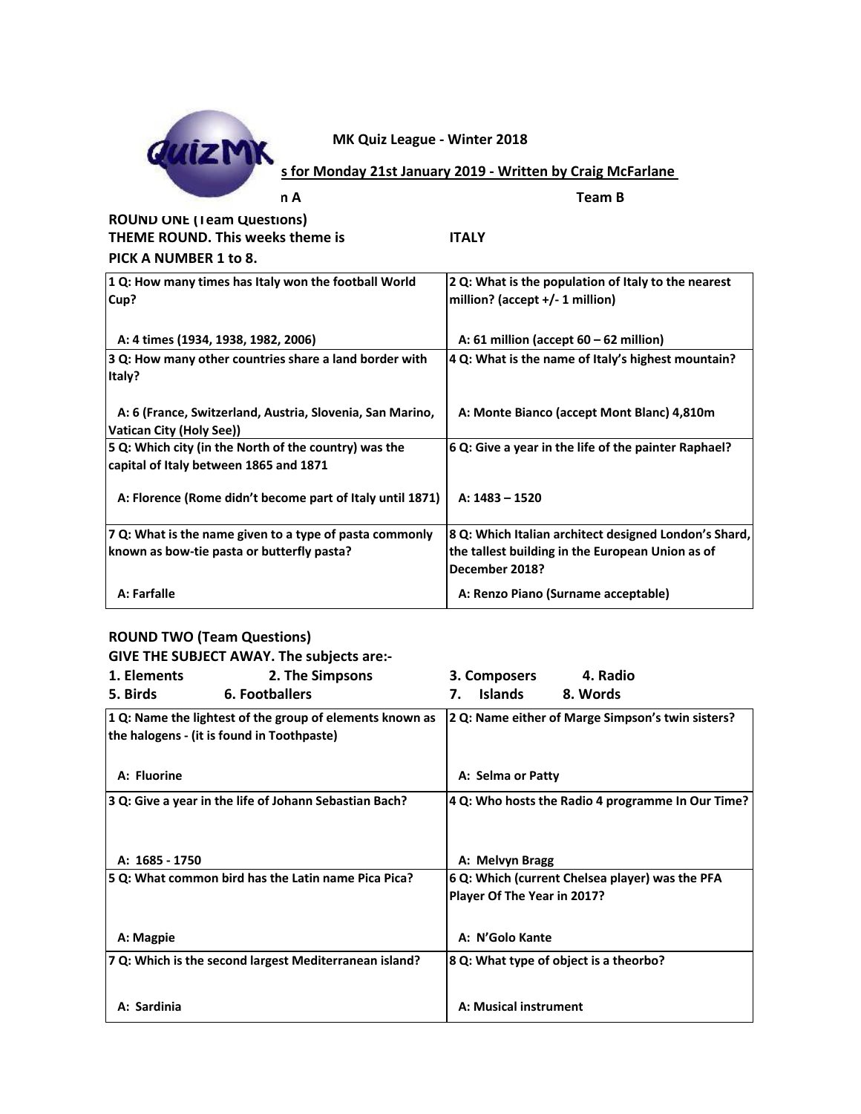

| n A                                                                                             | <b>Team B</b>                                                      |
|-------------------------------------------------------------------------------------------------|--------------------------------------------------------------------|
| <b>ROUND ONE (Team Questions)</b>                                                               |                                                                    |
| <b>THEME ROUND. This weeks theme is</b>                                                         | <b>ITALY</b>                                                       |
| PICK A NUMBER 1 to 8.                                                                           |                                                                    |
| 1 Q: How many times has Italy won the football World                                            | 2 Q: What is the population of Italy to the nearest                |
| Cup?                                                                                            | million? (accept +/- 1 million)                                    |
|                                                                                                 |                                                                    |
| A: 4 times (1934, 1938, 1982, 2006)                                                             | A: 61 million (accept $60 - 62$ million)                           |
| 3 Q: How many other countries share a land border with<br>Italy?                                | 4 Q: What is the name of Italy's highest mountain?                 |
| A: 6 (France, Switzerland, Austria, Slovenia, San Marino,<br><b>Vatican City (Holy See))</b>    | A: Monte Bianco (accept Mont Blanc) 4,810m                         |
| 5 Q: Which city (in the North of the country) was the<br>capital of Italy between 1865 and 1871 | 6 Q: Give a year in the life of the painter Raphael?               |
| A: Florence (Rome didn't become part of Italy until 1871)                                       | $A: 1483 - 1520$                                                   |
| 7 Q: What is the name given to a type of pasta commonly                                         | 8 Q: Which Italian architect designed London's Shard,              |
| known as bow-tie pasta or butterfly pasta?                                                      | the tallest building in the European Union as of<br>December 2018? |
| A: Farfalle                                                                                     | A: Renzo Piano (Surname acceptable)                                |

## **ROUND TWO (Team Questions)**

|                | GIVE THE SUBJECT AWAY. The subjects are:-                                                              |                             |                                                   |
|----------------|--------------------------------------------------------------------------------------------------------|-----------------------------|---------------------------------------------------|
| 1. Elements    | 2. The Simpsons                                                                                        | 3. Composers                | 4. Radio                                          |
| 5. Birds       | 6. Footballers                                                                                         | <b>Islands</b><br>7.        | 8. Words                                          |
|                | 1 Q: Name the lightest of the group of elements known as<br>the halogens - (it is found in Toothpaste) |                             | 2 Q: Name either of Marge Simpson's twin sisters? |
| A: Fluorine    |                                                                                                        | A: Selma or Patty           |                                                   |
|                | 3 Q: Give a year in the life of Johann Sebastian Bach?                                                 |                             | 4 Q: Who hosts the Radio 4 programme In Our Time? |
| A: 1685 - 1750 |                                                                                                        | A: Melvyn Bragg             |                                                   |
|                | 5 Q: What common bird has the Latin name Pica Pica?                                                    | Player Of The Year in 2017? | 6 Q: Which (current Chelsea player) was the PFA   |
| A: Magpie      |                                                                                                        | A: N'Golo Kante             |                                                   |
|                | 7 Q: Which is the second largest Mediterranean island?                                                 |                             | 8 Q: What type of object is a theorbo?            |
| A: Sardinia    |                                                                                                        | A: Musical instrument       |                                                   |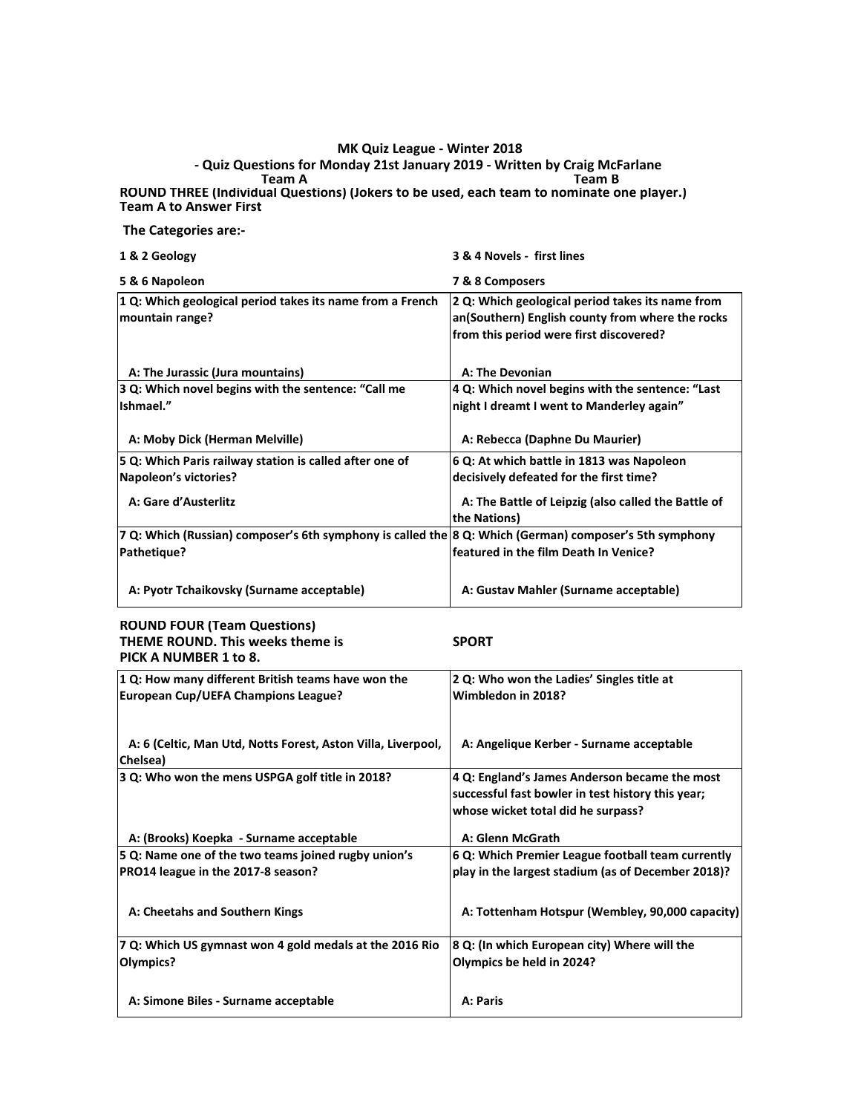### **Team A Team B ROUND THREE (Individual Questions) (Jokers to be used, each team to nominate one player.) Team A to Answer First - Quiz Questions for Monday 21st January 2019 - Written by Craig McFarlane**

## **The Categories are:-**

| 1 & 2 Geology                                                                                          | 3 & 4 Novels - first lines                                                                                                                      |
|--------------------------------------------------------------------------------------------------------|-------------------------------------------------------------------------------------------------------------------------------------------------|
| 5 & 6 Napoleon                                                                                         | 7 & 8 Composers                                                                                                                                 |
| 1 Q: Which geological period takes its name from a French<br>mountain range?                           | 2 Q: Which geological period takes its name from<br>an(Southern) English county from where the rocks<br>from this period were first discovered? |
| A: The Jurassic (Jura mountains)                                                                       | <b>A: The Devonian</b>                                                                                                                          |
| 3 Q: Which novel begins with the sentence: "Call me                                                    | 4 Q: Which novel begins with the sentence: "Last                                                                                                |
| Ishmael."                                                                                              | night I dreamt I went to Manderley again"                                                                                                       |
|                                                                                                        |                                                                                                                                                 |
| A: Moby Dick (Herman Melville)                                                                         | A: Rebecca (Daphne Du Maurier)                                                                                                                  |
| 5 Q: Which Paris railway station is called after one of                                                | 6 Q: At which battle in 1813 was Napoleon                                                                                                       |
| Napoleon's victories?                                                                                  | decisively defeated for the first time?                                                                                                         |
| A: Gare d'Austerlitz                                                                                   | A: The Battle of Leipzig (also called the Battle of<br>the Nations)                                                                             |
| 7 Q: Which (Russian) composer's 6th symphony is called the 8 Q: Which (German) composer's 5th symphony |                                                                                                                                                 |
| Pathetique?                                                                                            | featured in the film Death In Venice?                                                                                                           |
| A: Pyotr Tchaikovsky (Surname acceptable)                                                              | A: Gustav Mahler (Surname acceptable)                                                                                                           |

### **ROUND FOUR (Team Questions) THEME ROUND. This weeks theme is SPORT PICK A NUMBER 1 to 8.**

| PICK A NUMBER 1 TO 8.                                                    |                                                                                                                                          |
|--------------------------------------------------------------------------|------------------------------------------------------------------------------------------------------------------------------------------|
| 1 Q: How many different British teams have won the                       | 2 Q: Who won the Ladies' Singles title at                                                                                                |
| <b>European Cup/UEFA Champions League?</b>                               | Wimbledon in 2018?                                                                                                                       |
| A: 6 (Celtic, Man Utd, Notts Forest, Aston Villa, Liverpool,<br>Chelsea) | A: Angelique Kerber - Surname acceptable                                                                                                 |
| 3 Q: Who won the mens USPGA golf title in 2018?                          | 4 Q: England's James Anderson became the most<br>successful fast bowler in test history this year;<br>whose wicket total did he surpass? |
| A: (Brooks) Koepka - Surname acceptable                                  | A: Glenn McGrath                                                                                                                         |
| 5 Q: Name one of the two teams joined rugby union's                      | 6 Q: Which Premier League football team currently                                                                                        |
| PRO14 league in the 2017-8 season?                                       | play in the largest stadium (as of December 2018)?                                                                                       |
| A: Cheetahs and Southern Kings                                           | A: Tottenham Hotspur (Wembley, 90,000 capacity)                                                                                          |
| 7 Q: Which US gymnast won 4 gold medals at the 2016 Rio                  | 8 Q: (In which European city) Where will the                                                                                             |
| Olympics?                                                                | Olympics be held in 2024?                                                                                                                |
| A: Simone Biles - Surname acceptable                                     | A: Paris                                                                                                                                 |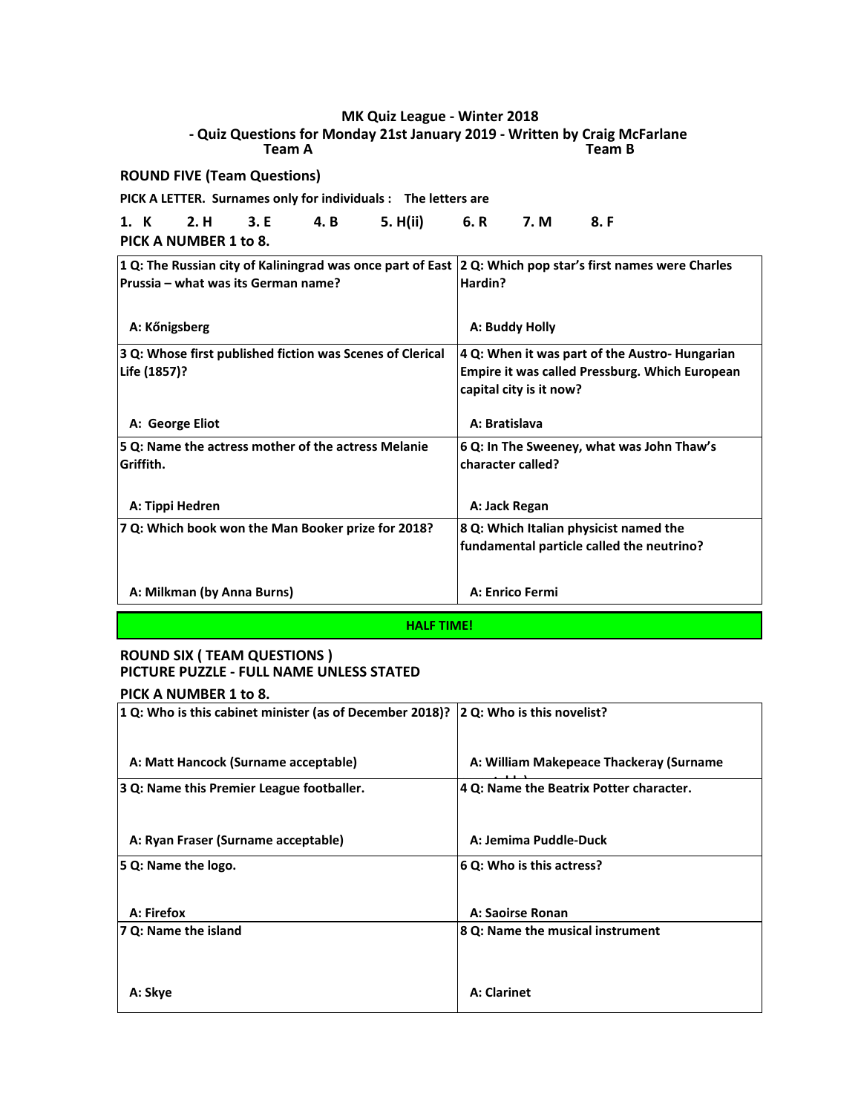**Team A Team B - Quiz Questions for Monday 21st January 2019 - Written by Craig McFarlane** 

**ROUND FIVE (Team Questions)**

**PICK A LETTER. Surnames only for individuals : The letters are**

**1. K 2. H 3. E 4. B 5. H(ii) 6. R 7. M 8. F**

**PICK A NUMBER 1 to 8.**

| 1 Q: The Russian city of Kaliningrad was once part of East 2 Q: Which pop star's first names were Charles<br>Prussia – what was its German name? | Hardin?                                                                                                                            |
|--------------------------------------------------------------------------------------------------------------------------------------------------|------------------------------------------------------------------------------------------------------------------------------------|
| A: Kőnigsberg                                                                                                                                    | A: Buddy Holly                                                                                                                     |
| 3 Q: Whose first published fiction was Scenes of Clerical<br>Life (1857)?                                                                        | 4 Q: When it was part of the Austro- Hungarian<br><b>Empire it was called Pressburg. Which European</b><br>capital city is it now? |
| A: George Eliot                                                                                                                                  | A: Bratislava                                                                                                                      |
| 5 Q: Name the actress mother of the actress Melanie<br>lGriffith.                                                                                | 6 Q: In The Sweeney, what was John Thaw's<br>character called?                                                                     |
| A: Tippi Hedren                                                                                                                                  | A: Jack Regan                                                                                                                      |
| 7 Q: Which book won the Man Booker prize for 2018?                                                                                               | 8 Q: Which Italian physicist named the<br>fundamental particle called the neutrino?                                                |
| A: Milkman (by Anna Burns)                                                                                                                       | A: Enrico Fermi                                                                                                                    |
|                                                                                                                                                  |                                                                                                                                    |

**HALF TIME!**

## **ROUND SIX ( TEAM QUESTIONS ) PICTURE PUZZLE - FULL NAME UNLESS STATED PICK A NUMBER 1 to 8.**

| 1 Q: Who is this cabinet minister (as of December 2018)? | 2 Q: Who is this novelist?              |
|----------------------------------------------------------|-----------------------------------------|
| A: Matt Hancock (Surname acceptable)                     | A: William Makepeace Thackeray (Surname |
| 3 Q: Name this Premier League footballer.                | 4 Q: Name the Beatrix Potter character. |
|                                                          |                                         |
| A: Ryan Fraser (Surname acceptable)                      | A: Jemima Puddle-Duck                   |
| 5 Q: Name the logo.                                      | 6 Q: Who is this actress?               |
|                                                          |                                         |
| A: Firefox                                               | A: Saoirse Ronan                        |
| 7 Q: Name the island                                     | 8 Q: Name the musical instrument        |
|                                                          |                                         |
|                                                          |                                         |
| A: Skye                                                  | <b>A: Clarinet</b>                      |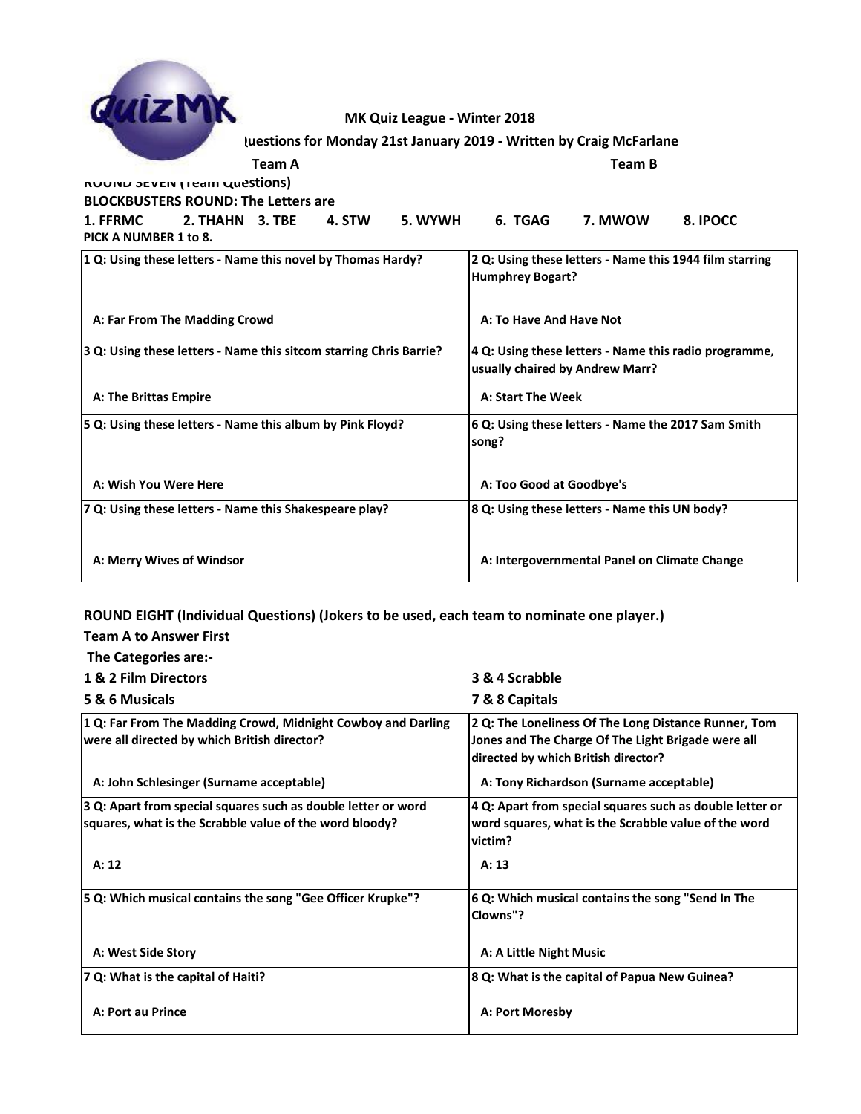

**Luestions for Monday 21st January 2019 - Written by Craig McFarlane** 

| Team A                       |
|------------------------------|
| KUUNU SEVEN (Team Questions) |

**BLOCKBUSTERS ROUND: The Letters are**

**Team A Team B**

**1. FFRMC 2. THAHN 3. TBE 4. STW 5. WYWH 6. TGAG 7. MWOW 8. IPOCC**

**PICK A NUMBER 1 to 8.**

**Team A to Answer First**

| 1 Q: Using these letters - Name this novel by Thomas Hardy?        | 2 Q: Using these letters - Name this 1944 film starring<br><b>Humphrey Bogart?</b>       |
|--------------------------------------------------------------------|------------------------------------------------------------------------------------------|
| A: Far From The Madding Crowd                                      | A: To Have And Have Not                                                                  |
| 3 Q: Using these letters - Name this sitcom starring Chris Barrie? | 4 Q: Using these letters - Name this radio programme,<br>usually chaired by Andrew Marr? |
| A: The Brittas Empire                                              | A: Start The Week                                                                        |
| 5 Q: Using these letters - Name this album by Pink Floyd?          | 6 Q: Using these letters - Name the 2017 Sam Smith<br>song?                              |
| A: Wish You Were Here                                              | A: Too Good at Goodbye's                                                                 |
| 7 Q: Using these letters - Name this Shakespeare play?             | 8 Q: Using these letters - Name this UN body?                                            |
| A: Merry Wives of Windsor                                          | A: Intergovernmental Panel on Climate Change                                             |

**ROUND EIGHT (Individual Questions) (Jokers to be used, each team to nominate one player.)**

 **The Categories are:- 1 & 2 Film Directors 3 & 4 Scrabble 5 & 6 Musicals 7 & 8 Capitals 1 Q: Far From The Madding Crowd, Midnight Cowboy and Darling were all directed by which British director? 2 Q: The Loneliness Of The Long Distance Runner, Tom Jones and The Charge Of The Light Brigade were all directed by which British director? A: John Schlesinger (Surname acceptable) A: Tony Richardson (Surname acceptable) 3 Q: Apart from special squares such as double letter or word squares, what is the Scrabble value of the word bloody? 4 Q: Apart from special squares such as double letter or word squares, what is the Scrabble value of the word victim? A: 12 A: 13 5 Q: Which musical contains the song "Gee Officer Krupke"? 6 Q: Which musical contains the song "Send In The Clowns"? A: West Side Story Community A: A Little Night Music 7 Q: What is the capital of Haiti? 8 Q: What is the capital of Papua New Guinea? A: Port au Prince A: Port Moresby**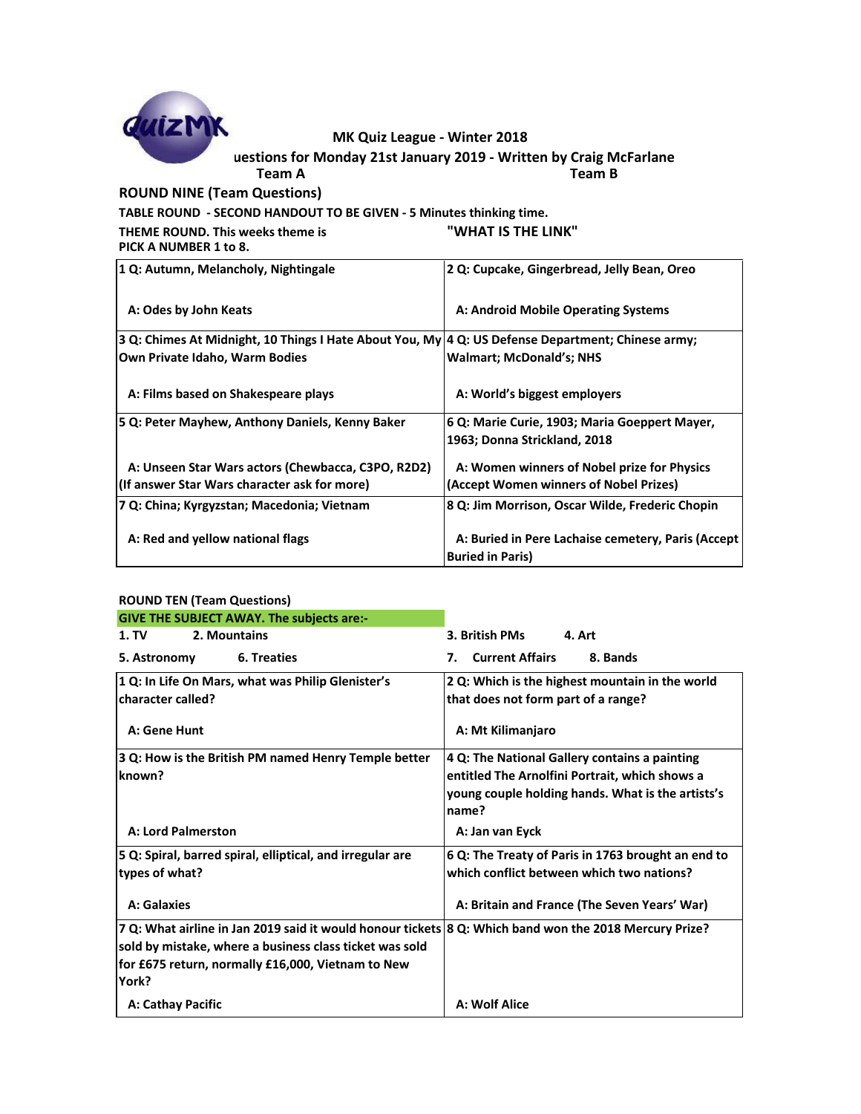

**TABLE ROUND - SECOND HANDOUT TO BE GIVEN - 5 Minutes thinking time.**

**THEME ROUND. This weeks theme is "WHAT IS THE LINK" PICK A NUMBER 1 to 8.**

| 1 Q: Autumn, Melancholy, Nightingale                                                              | 2 Q: Cupcake, Gingerbread, Jelly Bean, Oreo        |
|---------------------------------------------------------------------------------------------------|----------------------------------------------------|
| A: Odes by John Keats                                                                             | A: Android Mobile Operating Systems                |
| 3 Q: Chimes At Midnight, 10 Things I Hate About You, My 4 Q: US Defense Department; Chinese army; |                                                    |
| Own Private Idaho, Warm Bodies                                                                    | <b>Walmart: McDonald's: NHS</b>                    |
| A: Films based on Shakespeare plays                                                               | A: World's biggest employers                       |
| 5 Q: Peter Mayhew, Anthony Daniels, Kenny Baker                                                   | 6 Q: Marie Curie, 1903; Maria Goeppert Mayer,      |
|                                                                                                   | 1963; Donna Strickland, 2018                       |
| A: Unseen Star Wars actors (Chewbacca, C3PO, R2D2)                                                | A: Women winners of Nobel prize for Physics        |
| (If answer Star Wars character ask for more)                                                      | (Accept Women winners of Nobel Prizes)             |
| 7 Q: China; Kyrgyzstan; Macedonia; Vietnam                                                        | 8 Q: Jim Morrison, Oscar Wilde, Frederic Chopin    |
|                                                                                                   |                                                    |
| A: Red and yellow national flags                                                                  | A: Buried in Pere Lachaise cemetery, Paris (Accept |
|                                                                                                   | <b>Buried in Paris)</b>                            |

| <b>GIVE THE SUBJECT AWAY. The subjects are:-</b><br>2. Mountains<br>1. T <sub>V</sub>                                                                                                                                           | 3. British PMs<br>4. Art                                                                                                                                      |
|---------------------------------------------------------------------------------------------------------------------------------------------------------------------------------------------------------------------------------|---------------------------------------------------------------------------------------------------------------------------------------------------------------|
| 5. Astronomy<br>6. Treaties                                                                                                                                                                                                     | <b>Current Affairs</b><br>8. Bands<br>7.                                                                                                                      |
| 1 Q: In Life On Mars, what was Philip Glenister's<br>character called?<br>A: Gene Hunt                                                                                                                                          | 2 Q: Which is the highest mountain in the world<br>that does not form part of a range?<br>A: Mt Kilimanjaro                                                   |
| 3 Q: How is the British PM named Henry Temple better<br>known?                                                                                                                                                                  | 4 Q: The National Gallery contains a painting<br>entitled The Arnolfini Portrait, which shows a<br>young couple holding hands. What is the artists's<br>name? |
| <b>A: Lord Palmerston</b>                                                                                                                                                                                                       | A: Jan van Eyck                                                                                                                                               |
| 5 Q: Spiral, barred spiral, elliptical, and irregular are<br>types of what?                                                                                                                                                     | 6 Q: The Treaty of Paris in 1763 brought an end to<br>which conflict between which two nations?                                                               |
| A: Galaxies                                                                                                                                                                                                                     | A: Britain and France (The Seven Years' War)                                                                                                                  |
| 7 Q: What airline in Jan 2019 said it would honour tickets 8 Q: Which band won the 2018 Mercury Prize?<br>sold by mistake, where a business class ticket was sold<br>for £675 return, normally £16,000, Vietnam to New<br>York? |                                                                                                                                                               |
| A: Cathay Pacific                                                                                                                                                                                                               | A: Wolf Alice                                                                                                                                                 |

# **ROUND TEN (Team Questions)**